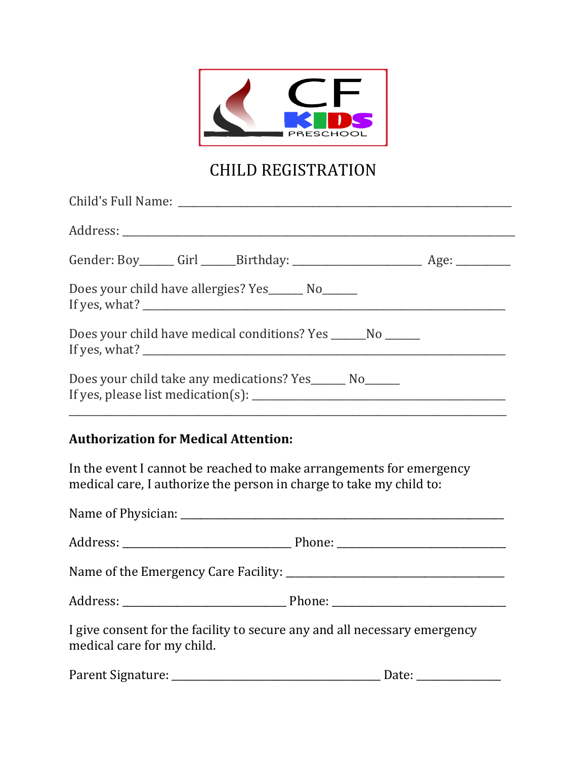

## CHILD REGISTRATION

| Does your child have allergies? Yes ________ No_______                                                                                                                                                                                                                                                                                                |  |
|-------------------------------------------------------------------------------------------------------------------------------------------------------------------------------------------------------------------------------------------------------------------------------------------------------------------------------------------------------|--|
| Does your child have medical conditions? Yes ________No _______                                                                                                                                                                                                                                                                                       |  |
| Does your child take any medications? Yes ________ No_______<br>If yes, please list medication(s): $\frac{1}{2}$ [1] $\frac{1}{2}$ [1] $\frac{1}{2}$ [1] $\frac{1}{2}$ [1] $\frac{1}{2}$ [1] $\frac{1}{2}$ [1] $\frac{1}{2}$ [1] $\frac{1}{2}$ [1] $\frac{1}{2}$ [1] $\frac{1}{2}$ [1] $\frac{1}{2}$ [1] $\frac{1}{2}$ [1] $\frac{1}{2}$ [1] $\frac{$ |  |
|                                                                                                                                                                                                                                                                                                                                                       |  |

## **Authorization for Medical Attention:**

In the event I cannot be reached to make arrangements for emergency medical care, I authorize the person in charge to take my child to:

| I give consent for the facility to secure any and all necessary emergency<br>medical care for my child. |  |
|---------------------------------------------------------------------------------------------------------|--|
|                                                                                                         |  |

| Parent Signature: |  |
|-------------------|--|
|                   |  |